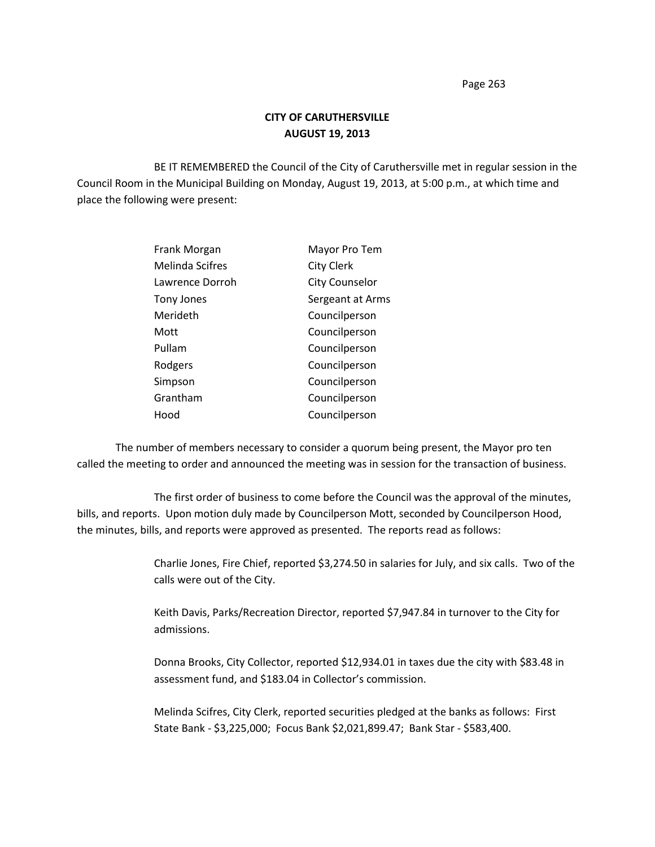## **CITY OF CARUTHERSVILLE AUGUST 19, 2013**

BE IT REMEMBERED the Council of the City of Caruthersville met in regular session in the Council Room in the Municipal Building on Monday, August 19, 2013, at 5:00 p.m., at which time and place the following were present:

| Frank Morgan           | Mayor Pro Tem         |
|------------------------|-----------------------|
| <b>Melinda Scifres</b> | <b>City Clerk</b>     |
| Lawrence Dorroh        | <b>City Counselor</b> |
| Tony Jones             | Sergeant at Arms      |
| Merideth               | Councilperson         |
| Mott                   | Councilperson         |
| Pullam                 | Councilperson         |
| Rodgers                | Councilperson         |
| Simpson                | Councilperson         |
| Grantham               | Councilperson         |
| Hood                   | Councilperson         |

The number of members necessary to consider a quorum being present, the Mayor pro ten called the meeting to order and announced the meeting was in session for the transaction of business.

The first order of business to come before the Council was the approval of the minutes, bills, and reports. Upon motion duly made by Councilperson Mott, seconded by Councilperson Hood, the minutes, bills, and reports were approved as presented. The reports read as follows:

> Charlie Jones, Fire Chief, reported \$3,274.50 in salaries for July, and six calls. Two of the calls were out of the City.

Keith Davis, Parks/Recreation Director, reported \$7,947.84 in turnover to the City for admissions.

Donna Brooks, City Collector, reported \$12,934.01 in taxes due the city with \$83.48 in assessment fund, and \$183.04 in Collector's commission.

Melinda Scifres, City Clerk, reported securities pledged at the banks as follows: First State Bank - \$3,225,000; Focus Bank \$2,021,899.47; Bank Star - \$583,400.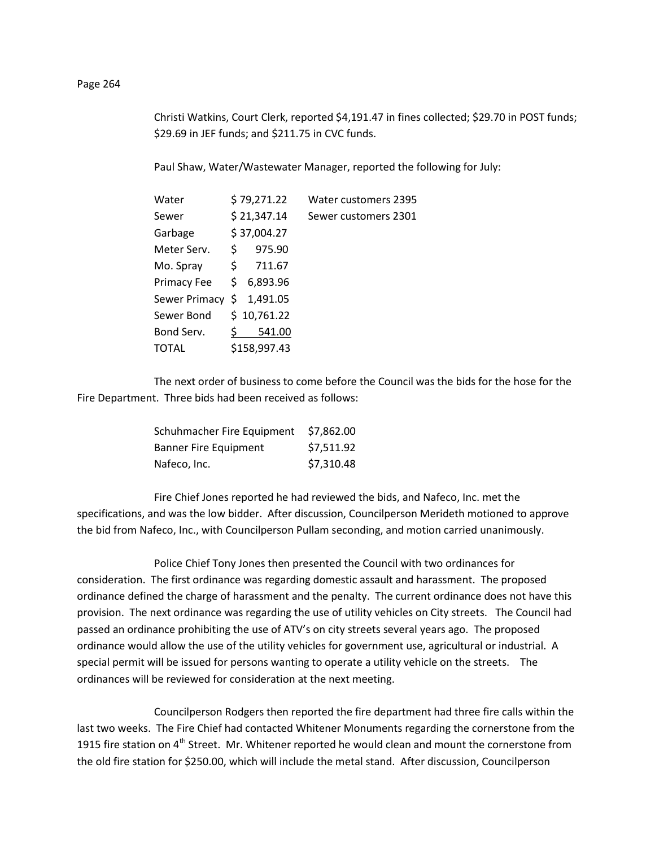Christi Watkins, Court Clerk, reported \$4,191.47 in fines collected; \$29.70 in POST funds; \$29.69 in JEF funds; and \$211.75 in CVC funds.

Paul Shaw, Water/Wastewater Manager, reported the following for July:

| Water         | \$79,271.22    | Water customers 2395 |
|---------------|----------------|----------------------|
| Sewer         | \$21,347.14    | Sewer customers 2301 |
| Garbage       | \$37,004.27    |                      |
| Meter Serv.   | \$<br>975.90   |                      |
| Mo. Spray     | \$<br>711.67   |                      |
| Primacy Fee   | \$6,893.96     |                      |
| Sewer Primacy | 1,491.05<br>\$ |                      |
| Sewer Bond    | \$10,761.22    |                      |
| Bond Serv.    | 541.00         |                      |
| TOTAL         | \$158,997.43   |                      |

The next order of business to come before the Council was the bids for the hose for the Fire Department. Three bids had been received as follows:

| Schuhmacher Fire Equipment   | \$7,862.00 |
|------------------------------|------------|
| <b>Banner Fire Equipment</b> | \$7,511.92 |
| Nafeco, Inc.                 | \$7,310.48 |

Fire Chief Jones reported he had reviewed the bids, and Nafeco, Inc. met the specifications, and was the low bidder. After discussion, Councilperson Merideth motioned to approve the bid from Nafeco, Inc., with Councilperson Pullam seconding, and motion carried unanimously.

Police Chief Tony Jones then presented the Council with two ordinances for consideration. The first ordinance was regarding domestic assault and harassment. The proposed ordinance defined the charge of harassment and the penalty. The current ordinance does not have this provision. The next ordinance was regarding the use of utility vehicles on City streets. The Council had passed an ordinance prohibiting the use of ATV's on city streets several years ago. The proposed ordinance would allow the use of the utility vehicles for government use, agricultural or industrial. A special permit will be issued for persons wanting to operate a utility vehicle on the streets. The ordinances will be reviewed for consideration at the next meeting.

Councilperson Rodgers then reported the fire department had three fire calls within the last two weeks. The Fire Chief had contacted Whitener Monuments regarding the cornerstone from the 1915 fire station on 4<sup>th</sup> Street. Mr. Whitener reported he would clean and mount the cornerstone from the old fire station for \$250.00, which will include the metal stand. After discussion, Councilperson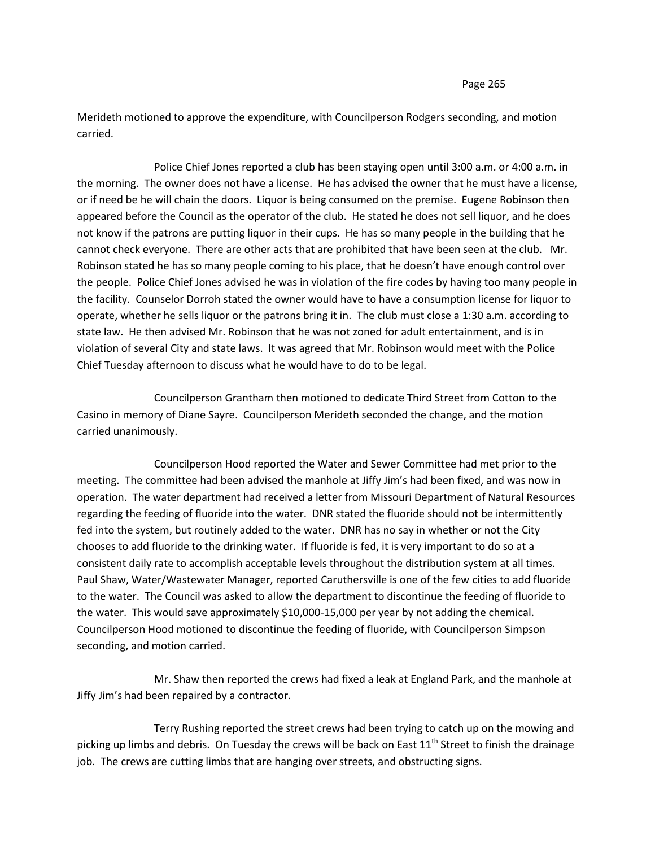Merideth motioned to approve the expenditure, with Councilperson Rodgers seconding, and motion carried.

Police Chief Jones reported a club has been staying open until 3:00 a.m. or 4:00 a.m. in the morning. The owner does not have a license. He has advised the owner that he must have a license, or if need be he will chain the doors. Liquor is being consumed on the premise. Eugene Robinson then appeared before the Council as the operator of the club. He stated he does not sell liquor, and he does not know if the patrons are putting liquor in their cups. He has so many people in the building that he cannot check everyone. There are other acts that are prohibited that have been seen at the club. Mr. Robinson stated he has so many people coming to his place, that he doesn't have enough control over the people. Police Chief Jones advised he was in violation of the fire codes by having too many people in the facility. Counselor Dorroh stated the owner would have to have a consumption license for liquor to operate, whether he sells liquor or the patrons bring it in. The club must close a 1:30 a.m. according to state law. He then advised Mr. Robinson that he was not zoned for adult entertainment, and is in violation of several City and state laws. It was agreed that Mr. Robinson would meet with the Police Chief Tuesday afternoon to discuss what he would have to do to be legal.

Councilperson Grantham then motioned to dedicate Third Street from Cotton to the Casino in memory of Diane Sayre. Councilperson Merideth seconded the change, and the motion carried unanimously.

Councilperson Hood reported the Water and Sewer Committee had met prior to the meeting. The committee had been advised the manhole at Jiffy Jim's had been fixed, and was now in operation. The water department had received a letter from Missouri Department of Natural Resources regarding the feeding of fluoride into the water. DNR stated the fluoride should not be intermittently fed into the system, but routinely added to the water. DNR has no say in whether or not the City chooses to add fluoride to the drinking water. If fluoride is fed, it is very important to do so at a consistent daily rate to accomplish acceptable levels throughout the distribution system at all times. Paul Shaw, Water/Wastewater Manager, reported Caruthersville is one of the few cities to add fluoride to the water. The Council was asked to allow the department to discontinue the feeding of fluoride to the water. This would save approximately \$10,000-15,000 per year by not adding the chemical. Councilperson Hood motioned to discontinue the feeding of fluoride, with Councilperson Simpson seconding, and motion carried.

Mr. Shaw then reported the crews had fixed a leak at England Park, and the manhole at Jiffy Jim's had been repaired by a contractor.

Terry Rushing reported the street crews had been trying to catch up on the mowing and picking up limbs and debris. On Tuesday the crews will be back on East  $11<sup>th</sup>$  Street to finish the drainage job. The crews are cutting limbs that are hanging over streets, and obstructing signs.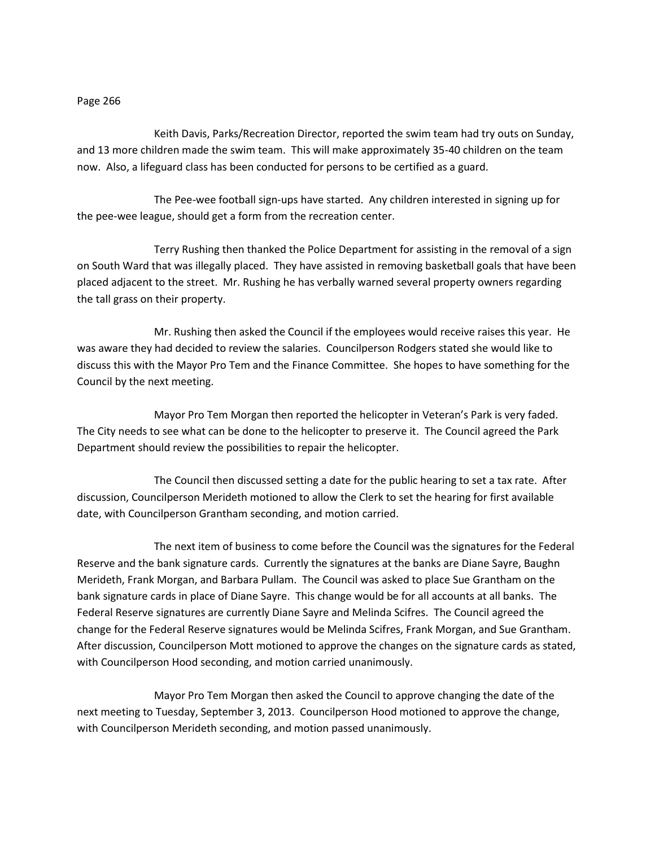Keith Davis, Parks/Recreation Director, reported the swim team had try outs on Sunday, and 13 more children made the swim team. This will make approximately 35-40 children on the team now. Also, a lifeguard class has been conducted for persons to be certified as a guard.

The Pee-wee football sign-ups have started. Any children interested in signing up for the pee-wee league, should get a form from the recreation center.

Terry Rushing then thanked the Police Department for assisting in the removal of a sign on South Ward that was illegally placed. They have assisted in removing basketball goals that have been placed adjacent to the street. Mr. Rushing he has verbally warned several property owners regarding the tall grass on their property.

Mr. Rushing then asked the Council if the employees would receive raises this year. He was aware they had decided to review the salaries. Councilperson Rodgers stated she would like to discuss this with the Mayor Pro Tem and the Finance Committee. She hopes to have something for the Council by the next meeting.

Mayor Pro Tem Morgan then reported the helicopter in Veteran's Park is very faded. The City needs to see what can be done to the helicopter to preserve it. The Council agreed the Park Department should review the possibilities to repair the helicopter.

The Council then discussed setting a date for the public hearing to set a tax rate. After discussion, Councilperson Merideth motioned to allow the Clerk to set the hearing for first available date, with Councilperson Grantham seconding, and motion carried.

The next item of business to come before the Council was the signatures for the Federal Reserve and the bank signature cards. Currently the signatures at the banks are Diane Sayre, Baughn Merideth, Frank Morgan, and Barbara Pullam. The Council was asked to place Sue Grantham on the bank signature cards in place of Diane Sayre. This change would be for all accounts at all banks. The Federal Reserve signatures are currently Diane Sayre and Melinda Scifres. The Council agreed the change for the Federal Reserve signatures would be Melinda Scifres, Frank Morgan, and Sue Grantham. After discussion, Councilperson Mott motioned to approve the changes on the signature cards as stated, with Councilperson Hood seconding, and motion carried unanimously.

Mayor Pro Tem Morgan then asked the Council to approve changing the date of the next meeting to Tuesday, September 3, 2013. Councilperson Hood motioned to approve the change, with Councilperson Merideth seconding, and motion passed unanimously.